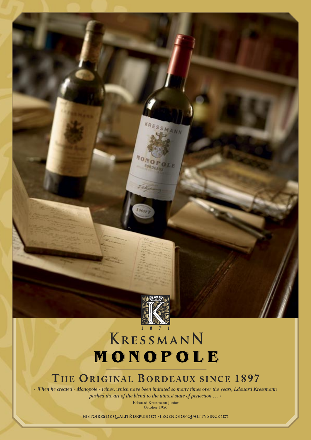

SMANN

# KRESSMANN MONOPOLE

when he created « Monopole » wines, which have been imitated so many times over the years, Edouard Kressmann » *pushed the art of the blend to the utmost state of perfection … »*

Edouard Kressmann Junior October 1956

HISTOIRES DE QUALITÉ DEPUIS 1871 • LEGENDS OF QUALITY SINCE 1871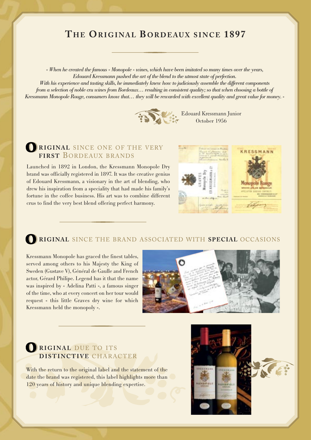## THE ORIGINAL BORDEAUX SINCE 1897 **THE EXISTENCE IS A REPORT OF A SINCE 1897**

*« When he created the famous « Monopole » wines, which have been imitated so many times over the years, Edouard Kressmann pushed the art of the blend to the utmost state of perfection.*

*With his experience and tasting skills, he immediately knew how to judiciously assemble the different components from a selection of noble cru wines from Bordeaux… resulting in consistent quality; so that when choosing a bottle of Kressmann Monopole Rouge, consumers know that… they will be rewarded with excellent quality and great value for money. »*



## **RIGINAL SINCE ONE OF THE VERY FIRST** BORDEAUX BRANDS

Launched in 1892 in London, the Kressmann Monopole Dry brand was officially registered in 1897. It was the creative genius of Edouard Kressmann, a visionary in the art of blending, who drew his inspiration from a speciality that had made his family's fortune in the coffee business. His art was to combine different crus to find the very best blend offering perfect harmony.



## **RIGINAL** SINCE THE BRAND ASSOCIATED WITH **SPECIAL** OCCASIONS

Kressmann Monopole has graced the finest tables, served among others to his Majesty the King of Sweden (Gustave V), Général de Gaulle and French actor, Gérard Philipe. Legend has it that the name was inspired by « Adelina Patti », a famous singer of the time, who at every concert on her tour would request « this little Graves dry wine for which Kressmann held the monopoly ».



## **RIGINAL** DUE TO ITS **DISTINCTIVE** CHARACTER

With the return to the original label and the statement of the date the brand was registered, this label highlights more than 120 years of history and unique blending expertise.

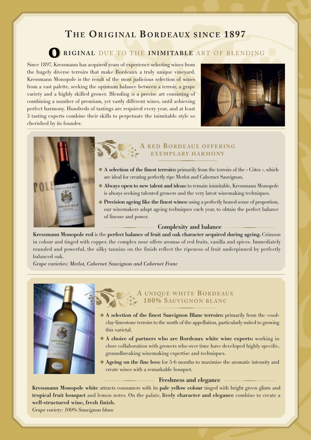# **THE ENERGY SINCE 1897**

## **RIGINAL DUE TO THE INIMITABLE ART OF BLENDING**

Since 1897, Kressmann has acquired years of experience selecting wines from the hugely diverse terroirs that make Bordeaux a truly unique vineyard. Kressmann Monopole is the result of the most judicious selection of wines from a vast palette, seeking the optimum balance between a terroir, a grape variety and a highly skilled grower. Blending is a precise art consisting of combining a number of premium, yet vastly different wines, until achieving perfect harmony. Hundreds of tastings are required every year, and at least 3 tasting experts combine their skills to perpetuate the inimitable style so cherished by its founder.





## **EXEMPLARY HARMONY**

- **A selection of the finest terroirs:** primarily from the terroirs of the « Côtes », which are ideal for creating perfectly ripe Merlot and Cabernet Sauvignon.
- **Always open to new talent and ideas:** to remain inimitable, Kressmann Monopole is always seeking talented growers and the very latest winemaking techniques.
- **Precision ageing like the finest wines:** using a perfectly honed sense of proportion, our winemakers adapt ageing techniques each year, to obtain the perfect balance of finesse and power.

### **Complexity and balance**

**Kressmann Monopole red** is the **perfect balance of fruit and oak character acquired during ageing.** Crimson in colour and tinged with copper, the complex nose offers aromas of red fruits, vanilla and spices. Immediately rounded and powerful, the silky tannins on the finish reflect the ripeness of fruit underpinned by perfectly balanced oak.

*Grape varieties: Merlot, Cabernet Sauvignon and Cabernet Franc*



## **A 100% SAUVIGNON BLANC 100% SAUVIGNON BLANC**

- **A selection of the finest Sauvignon Blanc terroirs:** primarily from the «cool» clay-limestone terroirs to the north of the appellation, particularly suited to growing this varietal.
- **A choice of partners who are Bordeaux white wine experts:** working in close collaboration with growers who over time have developed highly specific, groundbreaking winemaking expertise and techniques.
- **Ageing on the fine lees:** for 5-6 months to maximise the aromatic intensity and create wines with a remarkable bouquet.

### **Freshness and elegance**

**Kressmann Monopole white** attracts consumers with its **pale yellow colour** tinged with bright green glints and **tropical fruit bouquet** and lemon notes. On the palate, **lively character and elegance** combine to create a **well-structured wine, fresh finish.**

*Grape variety: 100% Sauvignon blanc*